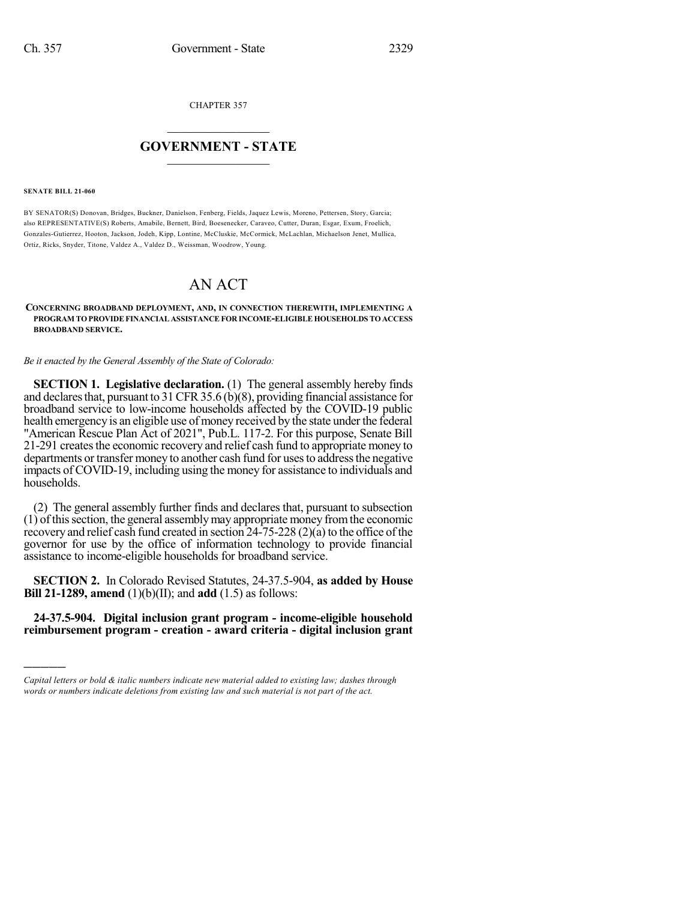CHAPTER 357

## $\overline{\phantom{a}}$  . The set of the set of the set of the set of the set of the set of the set of the set of the set of the set of the set of the set of the set of the set of the set of the set of the set of the set of the set o **GOVERNMENT - STATE**  $\_$

## **SENATE BILL 21-060**

)))))

BY SENATOR(S) Donovan, Bridges, Buckner, Danielson, Fenberg, Fields, Jaquez Lewis, Moreno, Pettersen, Story, Garcia; also REPRESENTATIVE(S) Roberts, Amabile, Bernett, Bird, Boesenecker, Caraveo, Cutter, Duran, Esgar, Exum, Froelich, Gonzales-Gutierrez, Hooton, Jackson, Jodeh, Kipp, Lontine, McCluskie, McCormick, McLachlan, Michaelson Jenet, Mullica, Ortiz, Ricks, Snyder, Titone, Valdez A., Valdez D., Weissman, Woodrow, Young.

## AN ACT

## **CONCERNING BROADBAND DEPLOYMENT, AND, IN CONNECTION THEREWITH, IMPLEMENTING A PROGRAM TOPROVIDEFINANCIAL ASSISTANCEFOR INCOME-ELIGIBLE HOUSEHOLDS TOACCESS BROADBAND SERVICE.**

*Be it enacted by the General Assembly of the State of Colorado:*

**SECTION 1. Legislative declaration.** (1) The general assembly hereby finds and declares that, pursuant to 31 CFR 35.6 (b)(8), providing financial assistance for broadband service to low-income households affected by the COVID-19 public health emergency is an eligible use of money received by the state under the federal "American Rescue Plan Act of 2021", Pub.L. 117-2. For this purpose, Senate Bill 21-291 createsthe economic recovery and relief cash fund to appropriate money to departments or transfer money to another cash fund for usesto addressthe negative impacts of COVID-19, including using the money for assistance to individuals and households.

(2) The general assembly further finds and declares that, pursuant to subsection (1) ofthissection, the general assemblymay appropriate money fromthe economic recovery and relief cash fund created in section  $24-75-228$  (2)(a) to the office of the governor for use by the office of information technology to provide financial assistance to income-eligible households for broadband service.

**SECTION 2.** In Colorado Revised Statutes, 24-37.5-904, **as added by House Bill 21-1289, amend** (1)(b)(II); and **add** (1.5) as follows:

**24-37.5-904. Digital inclusion grant program - income-eligible household reimbursement program - creation - award criteria - digital inclusion grant**

*Capital letters or bold & italic numbers indicate new material added to existing law; dashes through words or numbers indicate deletions from existing law and such material is not part of the act.*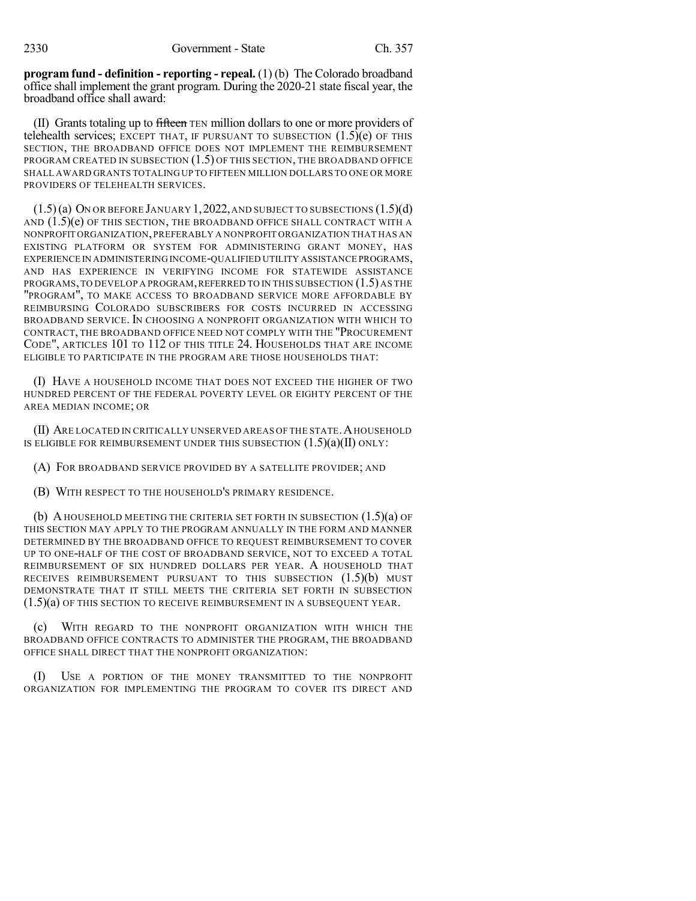**program fund - definition - reporting - repeal.** (1) (b) The Colorado broadband office shall implement the grant program. During the 2020-21 state fiscal year, the broadband office shall award:

(II) Grants totaling up to fifteen TEN million dollars to one or more providers of telehealth services; EXCEPT THAT, IF PURSUANT TO SUBSECTION  $(1.5)(e)$  OF THIS SECTION, THE BROADBAND OFFICE DOES NOT IMPLEMENT THE REIMBURSEMENT PROGRAM CREATED IN SUBSECTION (1.5) OF THIS SECTION, THE BROADBAND OFFICE SHALL AWARD GRANTS TOTALING UP TO FIFTEEN MILLION DOLLARS TO ONE OR MORE PROVIDERS OF TELEHEALTH SERVICES.

 $(1.5)$ (a) ON OR BEFORE JANUARY 1, 2022, AND SUBJECT TO SUBSECTIONS  $(1.5)$ (d) AND  $(1.5)(e)$  OF THIS SECTION, THE BROADBAND OFFICE SHALL CONTRACT WITH A NONPROFIT ORGANIZATION,PREFERABLY A NONPROFIT ORGANIZATION THAT HAS AN EXISTING PLATFORM OR SYSTEM FOR ADMINISTERING GRANT MONEY, HAS EXPERIENCE IN ADMINISTERING INCOME-QUALIFIED UTILITY ASSISTANCE PROGRAMS, AND HAS EXPERIENCE IN VERIFYING INCOME FOR STATEWIDE ASSISTANCE PROGRAMS,TO DEVELOP A PROGRAM,REFERRED TO IN THIS SUBSECTION (1.5) AS THE "PROGRAM", TO MAKE ACCESS TO BROADBAND SERVICE MORE AFFORDABLE BY REIMBURSING COLORADO SUBSCRIBERS FOR COSTS INCURRED IN ACCESSING BROADBAND SERVICE. IN CHOOSING A NONPROFIT ORGANIZATION WITH WHICH TO CONTRACT, THE BROADBAND OFFICE NEED NOT COMPLY WITH THE "PROCUREMENT CODE", ARTICLES 101 TO 112 OF THIS TITLE 24. HOUSEHOLDS THAT ARE INCOME ELIGIBLE TO PARTICIPATE IN THE PROGRAM ARE THOSE HOUSEHOLDS THAT:

(I) HAVE A HOUSEHOLD INCOME THAT DOES NOT EXCEED THE HIGHER OF TWO HUNDRED PERCENT OF THE FEDERAL POVERTY LEVEL OR EIGHTY PERCENT OF THE AREA MEDIAN INCOME; OR

(II) ARE LOCATED IN CRITICALLY UNSERVED AREAS OF THE STATE. A HOUSEHOLD IS ELIGIBLE FOR REIMBURSEMENT UNDER THIS SUBSECTION  $(1.5)(a)(II)$  ONLY:

(A) FOR BROADBAND SERVICE PROVIDED BY A SATELLITE PROVIDER; AND

(B) WITH RESPECT TO THE HOUSEHOLD'S PRIMARY RESIDENCE.

(b) A HOUSEHOLD MEETING THE CRITERIA SET FORTH IN SUBSECTION (1.5)(a) OF THIS SECTION MAY APPLY TO THE PROGRAM ANNUALLY IN THE FORM AND MANNER DETERMINED BY THE BROADBAND OFFICE TO REQUEST REIMBURSEMENT TO COVER UP TO ONE-HALF OF THE COST OF BROADBAND SERVICE, NOT TO EXCEED A TOTAL REIMBURSEMENT OF SIX HUNDRED DOLLARS PER YEAR. A HOUSEHOLD THAT RECEIVES REIMBURSEMENT PURSUANT TO THIS SUBSECTION (1.5)(b) MUST DEMONSTRATE THAT IT STILL MEETS THE CRITERIA SET FORTH IN SUBSECTION (1.5)(a) OF THIS SECTION TO RECEIVE REIMBURSEMENT IN A SUBSEQUENT YEAR.

(c) WITH REGARD TO THE NONPROFIT ORGANIZATION WITH WHICH THE BROADBAND OFFICE CONTRACTS TO ADMINISTER THE PROGRAM, THE BROADBAND OFFICE SHALL DIRECT THAT THE NONPROFIT ORGANIZATION:

(I) USE A PORTION OF THE MONEY TRANSMITTED TO THE NONPROFIT ORGANIZATION FOR IMPLEMENTING THE PROGRAM TO COVER ITS DIRECT AND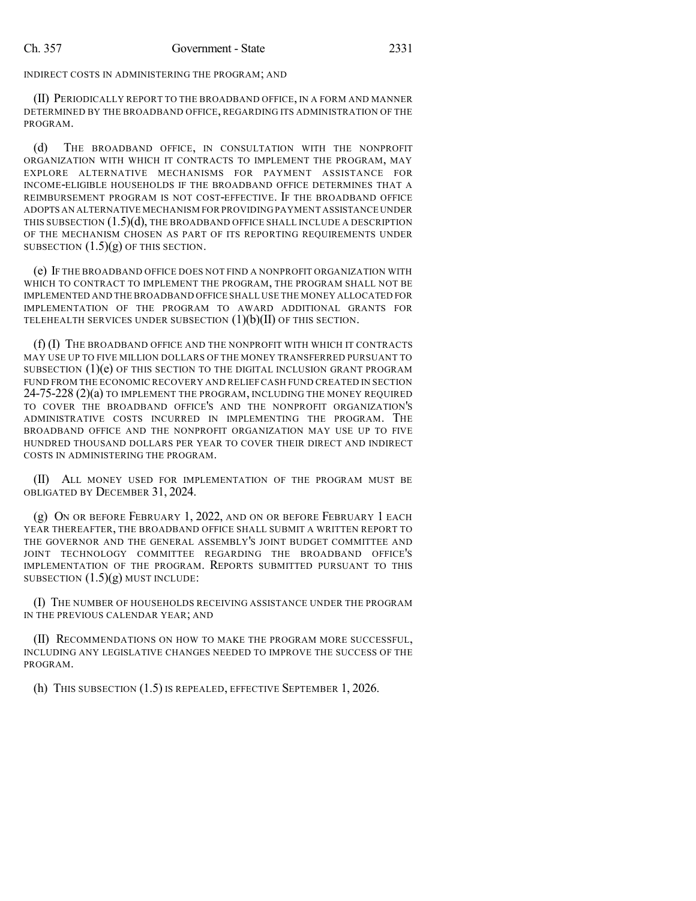INDIRECT COSTS IN ADMINISTERING THE PROGRAM; AND

(II) PERIODICALLY REPORT TO THE BROADBAND OFFICE, IN A FORM AND MANNER DETERMINED BY THE BROADBAND OFFICE, REGARDING ITS ADMINISTRATION OF THE PROGRAM.

(d) THE BROADBAND OFFICE, IN CONSULTATION WITH THE NONPROFIT ORGANIZATION WITH WHICH IT CONTRACTS TO IMPLEMENT THE PROGRAM, MAY EXPLORE ALTERNATIVE MECHANISMS FOR PAYMENT ASSISTANCE FOR INCOME-ELIGIBLE HOUSEHOLDS IF THE BROADBAND OFFICE DETERMINES THAT A REIMBURSEMENT PROGRAM IS NOT COST-EFFECTIVE. IF THE BROADBAND OFFICE ADOPTS AN ALTERNATIVE MECHANISM FOR PROVIDING PAYMENT ASSISTANCE UNDER THIS SUBSECTION  $(1.5)(d)$ , THE BROADBAND OFFICE SHALL INCLUDE A DESCRIPTION OF THE MECHANISM CHOSEN AS PART OF ITS REPORTING REQUIREMENTS UNDER SUBSECTION  $(1.5)(g)$  OF THIS SECTION.

(e) IF THE BROADBAND OFFICE DOES NOT FIND A NONPROFIT ORGANIZATION WITH WHICH TO CONTRACT TO IMPLEMENT THE PROGRAM, THE PROGRAM SHALL NOT BE IMPLEMENTED AND THE BROADBAND OFFICE SHALL USE THE MONEY ALLOCATED FOR IMPLEMENTATION OF THE PROGRAM TO AWARD ADDITIONAL GRANTS FOR TELEHEALTH SERVICES UNDER SUBSECTION  $(1)(b)(II)$  OF THIS SECTION.

(f) (I) THE BROADBAND OFFICE AND THE NONPROFIT WITH WHICH IT CONTRACTS MAY USE UP TO FIVE MILLION DOLLARS OF THE MONEY TRANSFERRED PURSUANT TO SUBSECTION (1)(e) OF THIS SECTION TO THE DIGITAL INCLUSION GRANT PROGRAM FUND FROM THE ECONOMIC RECOVERY AND RELIEF CASH FUND CREATED IN SECTION 24-75-228 (2)(a) TO IMPLEMENT THE PROGRAM, INCLUDING THE MONEY REQUIRED TO COVER THE BROADBAND OFFICE'S AND THE NONPROFIT ORGANIZATION'S ADMINISTRATIVE COSTS INCURRED IN IMPLEMENTING THE PROGRAM. THE BROADBAND OFFICE AND THE NONPROFIT ORGANIZATION MAY USE UP TO FIVE HUNDRED THOUSAND DOLLARS PER YEAR TO COVER THEIR DIRECT AND INDIRECT COSTS IN ADMINISTERING THE PROGRAM.

(II) ALL MONEY USED FOR IMPLEMENTATION OF THE PROGRAM MUST BE OBLIGATED BY DECEMBER 31, 2024.

(g) ON OR BEFORE FEBRUARY 1, 2022, AND ON OR BEFORE FEBRUARY 1 EACH YEAR THEREAFTER, THE BROADBAND OFFICE SHALL SUBMIT A WRITTEN REPORT TO THE GOVERNOR AND THE GENERAL ASSEMBLY'S JOINT BUDGET COMMITTEE AND JOINT TECHNOLOGY COMMITTEE REGARDING THE BROADBAND OFFICE'S IMPLEMENTATION OF THE PROGRAM. REPORTS SUBMITTED PURSUANT TO THIS SUBSECTION  $(1.5)(g)$  MUST INCLUDE:

(I) THE NUMBER OF HOUSEHOLDS RECEIVING ASSISTANCE UNDER THE PROGRAM IN THE PREVIOUS CALENDAR YEAR; AND

(II) RECOMMENDATIONS ON HOW TO MAKE THE PROGRAM MORE SUCCESSFUL, INCLUDING ANY LEGISLATIVE CHANGES NEEDED TO IMPROVE THE SUCCESS OF THE PROGRAM.

(h) THIS SUBSECTION (1.5) IS REPEALED, EFFECTIVE SEPTEMBER 1, 2026.